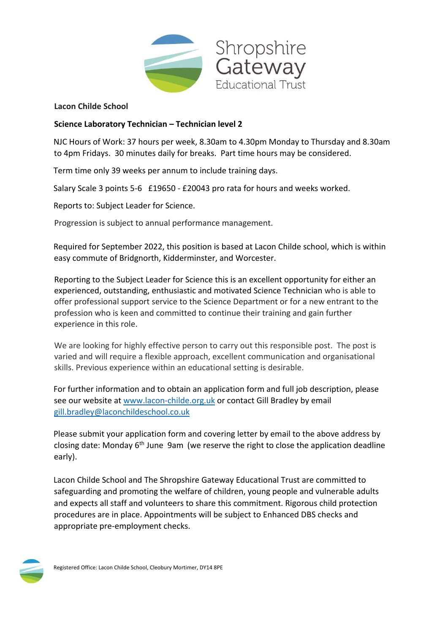

## **Lacon Childe School**

## **Science Laboratory Technician – Technician level 2**

NJC Hours of Work: 37 hours per week, 8.30am to 4.30pm Monday to Thursday and 8.30am to 4pm Fridays. 30 minutes daily for breaks. Part time hours may be considered.

Term time only 39 weeks per annum to include training days.

Salary Scale 3 points 5-6 £19650 - £20043 pro rata for hours and weeks worked.

Reports to: Subject Leader for Science.

Progression is subject to annual performance management.

Required for September 2022, this position is based at Lacon Childe school, which is within easy commute of Bridgnorth, Kidderminster, and Worcester.

Reporting to the Subject Leader for Science this is an excellent opportunity for either an experienced, outstanding, enthusiastic and motivated Science Technician who is able to offer professional support service to the Science Department or for a new entrant to the profession who is keen and committed to continue their training and gain further experience in this role.

We are looking for highly effective person to carry out this responsible post. The post is varied and will require a flexible approach, excellent communication and organisational skills. Previous experience within an educational setting is desirable.

For further information and to obtain an application form and full job description, please see our website at www.lacon-childe.org.uk or contact Gill Bradley by email gill.bradley@laconchildeschool.co.uk

Please submit your application form and covering letter by email to the above address by closing date: Monday 6<sup>th</sup> June 9am (we reserve the right to close the application deadline early).

Lacon Childe School and The Shropshire Gateway Educational Trust are committed to safeguarding and promoting the welfare of children, young people and vulnerable adults and expects all staff and volunteers to share this commitment. Rigorous child protection procedures are in place. Appointments will be subject to Enhanced DBS checks and appropriate pre-employment checks.